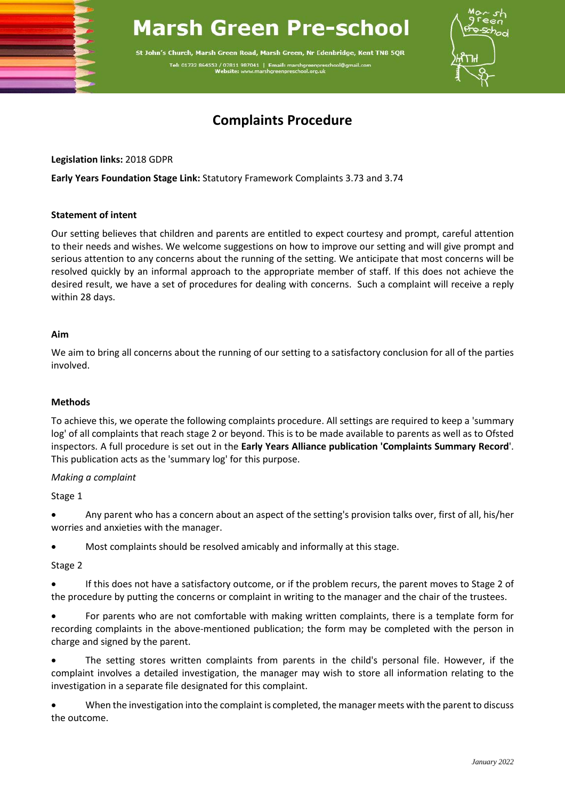# **Marsh Green Pre-school**

St John's Church, Marsh Green Road, Marsh Green, Nr Edenbridge, Kent TN8 5QR Tel: 01732 864553 / 07811 987041 | Email: m arshgreenpres<br>school.org.uk



# **Complaints Procedure**

**Legislation links:** 2018 GDPR

**Early Years Foundation Stage Link:** Statutory Framework Complaints 3.73 and 3.74

#### **Statement of intent**

Our setting believes that children and parents are entitled to expect courtesy and prompt, careful attention to their needs and wishes. We welcome suggestions on how to improve our setting and will give prompt and serious attention to any concerns about the running of the setting. We anticipate that most concerns will be resolved quickly by an informal approach to the appropriate member of staff. If this does not achieve the desired result, we have a set of procedures for dealing with concerns. Such a complaint will receive a reply within 28 days.

#### **Aim**

We aim to bring all concerns about the running of our setting to a satisfactory conclusion for all of the parties involved.

# **Methods**

To achieve this, we operate the following complaints procedure. All settings are required to keep a 'summary log' of all complaints that reach stage 2 or beyond. This is to be made available to parents as well as to Ofsted inspectors. A full procedure is set out in the **Early Years Alliance publication 'Complaints Summary Record**'. This publication acts as the 'summary log' for this purpose.

#### *Making a complaint*

Stage 1

• Any parent who has a concern about an aspect of the setting's provision talks over, first of all, his/her worries and anxieties with the manager.

• Most complaints should be resolved amicably and informally at this stage.

#### Stage 2

• If this does not have a satisfactory outcome, or if the problem recurs, the parent moves to Stage 2 of the procedure by putting the concerns or complaint in writing to the manager and the chair of the trustees.

• For parents who are not comfortable with making written complaints, there is a template form for recording complaints in the above-mentioned publication; the form may be completed with the person in charge and signed by the parent.

• The setting stores written complaints from parents in the child's personal file. However, if the complaint involves a detailed investigation, the manager may wish to store all information relating to the investigation in a separate file designated for this complaint.

• When the investigation into the complaint is completed, the manager meets with the parent to discuss the outcome.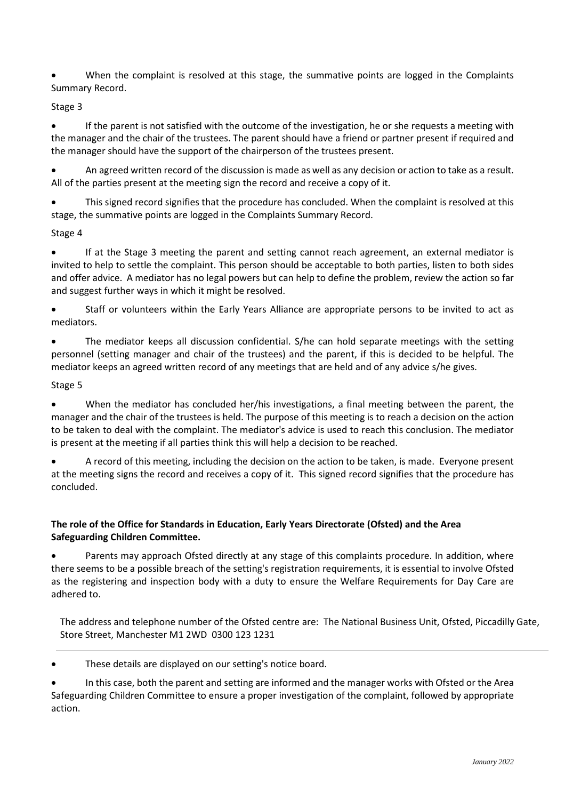• When the complaint is resolved at this stage, the summative points are logged in the Complaints Summary Record.

# Stage 3

• If the parent is not satisfied with the outcome of the investigation, he or she requests a meeting with the manager and the chair of the trustees. The parent should have a friend or partner present if required and the manager should have the support of the chairperson of the trustees present.

• An agreed written record of the discussion is made as well as any decision or action to take as a result. All of the parties present at the meeting sign the record and receive a copy of it.

This signed record signifies that the procedure has concluded. When the complaint is resolved at this stage, the summative points are logged in the Complaints Summary Record.

### Stage 4

• If at the Stage 3 meeting the parent and setting cannot reach agreement, an external mediator is invited to help to settle the complaint. This person should be acceptable to both parties, listen to both sides and offer advice. A mediator has no legal powers but can help to define the problem, review the action so far and suggest further ways in which it might be resolved.

• Staff or volunteers within the Early Years Alliance are appropriate persons to be invited to act as mediators.

• The mediator keeps all discussion confidential. S/he can hold separate meetings with the setting personnel (setting manager and chair of the trustees) and the parent, if this is decided to be helpful. The mediator keeps an agreed written record of any meetings that are held and of any advice s/he gives.

# Stage 5

• When the mediator has concluded her/his investigations, a final meeting between the parent, the manager and the chair of the trustees is held. The purpose of this meeting is to reach a decision on the action to be taken to deal with the complaint. The mediator's advice is used to reach this conclusion. The mediator is present at the meeting if all parties think this will help a decision to be reached.

• A record of this meeting, including the decision on the action to be taken, is made. Everyone present at the meeting signs the record and receives a copy of it. This signed record signifies that the procedure has concluded.

# **The role of the Office for Standards in Education, Early Years Directorate (Ofsted) and the Area Safeguarding Children Committee.**

Parents may approach Ofsted directly at any stage of this complaints procedure. In addition, where there seems to be a possible breach of the setting's registration requirements, it is essential to involve Ofsted as the registering and inspection body with a duty to ensure the Welfare Requirements for Day Care are adhered to.

The address and telephone number of the Ofsted centre are: The National Business Unit, Ofsted, Piccadilly Gate, Store Street, Manchester M1 2WD 0300 123 1231

These details are displayed on our setting's notice board.

• In this case, both the parent and setting are informed and the manager works with Ofsted or the Area Safeguarding Children Committee to ensure a proper investigation of the complaint, followed by appropriate action.